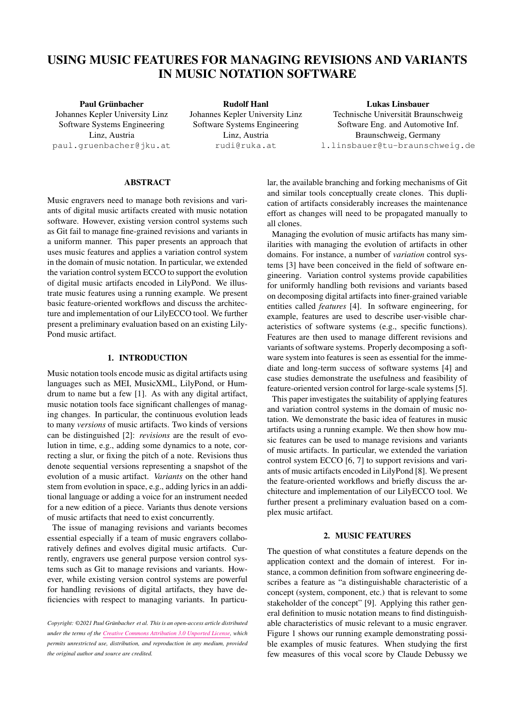# USING MUSIC FEATURES FOR MANAGING REVISIONS AND VARIANTS IN MUSIC NOTATION SOFTWARE

Paul Grünbacher Johannes Kepler University Linz Software Systems Engineering Linz, Austria [paul.gruenbacher@jku.at](mailto:paul.gruenbacher@jku.at)

Rudolf Hanl Johannes Kepler University Linz Software Systems Engineering Linz, Austria [rudi@ruka.at](mailto:rudi@ruka.at)

Lukas Linsbauer Technische Universität Braunschweig Software Eng. and Automotive Inf. Braunschweig, Germany [l.linsbauer@tu-braunschweig.de](mailto:l.linsbauer@tu-braunschweig.de)

# ABSTRACT

Music engravers need to manage both revisions and variants of digital music artifacts created with music notation software. However, existing version control systems such as Git fail to manage fine-grained revisions and variants in a uniform manner. This paper presents an approach that uses music features and applies a variation control system in the domain of music notation. In particular, we extended the variation control system ECCO to support the evolution of digital music artifacts encoded in LilyPond. We illustrate music features using a running example. We present basic feature-oriented workflows and discuss the architecture and implementation of our LilyECCO tool. We further present a preliminary evaluation based on an existing Lily-Pond music artifact.

# 1. INTRODUCTION

Music notation tools encode music as digital artifacts using languages such as MEI, MusicXML, LilyPond, or Humdrum to name but a few [\[1\]](#page-7-0). As with any digital artifact, music notation tools face significant challenges of managing changes. In particular, the continuous evolution leads to many *versions* of music artifacts. Two kinds of versions can be distinguished [\[2\]](#page-7-1): *revisions* are the result of evolution in time, e.g., adding some dynamics to a note, correcting a slur, or fixing the pitch of a note. Revisions thus denote sequential versions representing a snapshot of the evolution of a music artifact. *Variants* on the other hand stem from evolution in space, e.g., adding lyrics in an additional language or adding a voice for an instrument needed for a new edition of a piece. Variants thus denote versions of music artifacts that need to exist concurrently.

The issue of managing revisions and variants becomes essential especially if a team of music engravers collaboratively defines and evolves digital music artifacts. Currently, engravers use general purpose version control systems such as Git to manage revisions and variants. However, while existing version control systems are powerful for handling revisions of digital artifacts, they have deficiencies with respect to managing variants. In particular, the available branching and forking mechanisms of Git and similar tools conceptually create clones. This duplication of artifacts considerably increases the maintenance effort as changes will need to be propagated manually to all clones.

Managing the evolution of music artifacts has many similarities with managing the evolution of artifacts in other domains. For instance, a number of *variation* control systems [\[3\]](#page-7-2) have been conceived in the field of software engineering. Variation control systems provide capabilities for uniformly handling both revisions and variants based on decomposing digital artifacts into finer-grained variable entities called *features* [\[4\]](#page-7-3). In software engineering, for example, features are used to describe user-visible characteristics of software systems (e.g., specific functions). Features are then used to manage different revisions and variants of software systems. Properly decomposing a software system into features is seen as essential for the immediate and long-term success of software systems [\[4\]](#page-7-3) and case studies demonstrate the usefulness and feasibility of feature-oriented version control for large-scale systems [\[5\]](#page-7-4).

This paper investigates the suitability of applying features and variation control systems in the domain of music notation. We demonstrate the basic idea of features in music artifacts using a running example. We then show how music features can be used to manage revisions and variants of music artifacts. In particular, we extended the variation control system ECCO [\[6,](#page-7-5) [7\]](#page-7-6) to support revisions and variants of music artifacts encoded in LilyPond [\[8\]](#page-7-7). We present the feature-oriented workflows and briefly discuss the architecture and implementation of our LilyECCO tool. We further present a preliminary evaluation based on a complex music artifact.

# 2. MUSIC FEATURES

The question of what constitutes a feature depends on the application context and the domain of interest. For instance, a common definition from software engineering describes a feature as "a distinguishable characteristic of a concept (system, component, etc.) that is relevant to some stakeholder of the concept" [\[9\]](#page-7-8). Applying this rather general definition to music notation means to find distinguishable characteristics of music relevant to a music engraver. Figure [1](#page-1-0) shows our running example demonstrating possible examples of music features. When studying the first few measures of this vocal score by Claude Debussy we

*Copyright:* ©2021 Paul Grünbacher et al. This is an open-access article distributed *under the terms of the [Creative Commons Attribution 3.0 Unported License,](http://creativecommons.org/licenses/by/3.0/) which permits unrestricted use, distribution, and reproduction in any medium, provided the original author and source are credited.*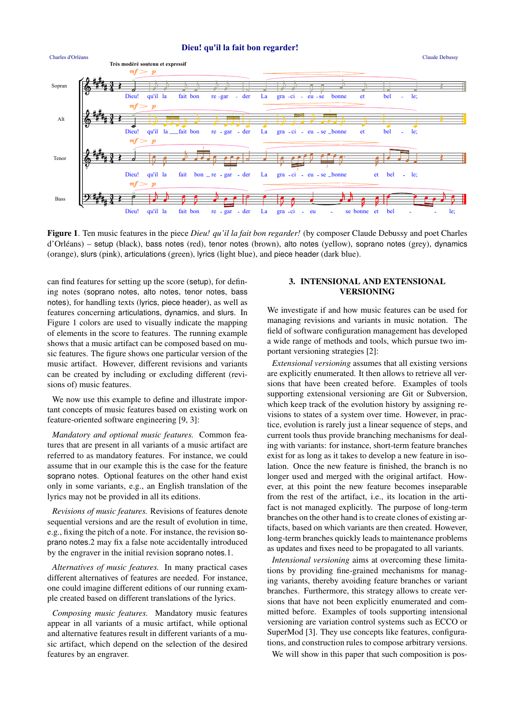



<span id="page-1-0"></span>Figure 1. Ten music features in the piece *Dieu! qu'il la fait bon regarder!* (by composer Claude Debussy and poet Charles d'Orléans) – setup (black), bass notes (red), tenor notes (brown), alto notes (yellow), soprano notes (grey), dynamics (orange), slurs (pink), articulations (green), lyrics (light blue), and piece header (dark blue).

can find features for setting up the score (setup), for defining notes (soprano notes, alto notes, tenor notes, bass notes), for handling texts (lyrics, piece header), as well as features concerning articulations, dynamics, and slurs. In Figure [1](#page-1-0) colors are used to visually indicate the mapping of elements in the score to features. The running example shows that a music artifact can be composed based on music features. The figure shows one particular version of the music artifact. However, different revisions and variants can be created by including or excluding different (revisions of) music features.

We now use this example to define and illustrate important concepts of music features based on existing work on feature-oriented software engineering [\[9,](#page-7-8) [3\]](#page-7-2):

*Mandatory and optional music features.* Common features that are present in all variants of a music artifact are referred to as mandatory features. For instance, we could assume that in our example this is the case for the feature soprano notes. Optional features on the other hand exist only in some variants, e.g., an English translation of the lyrics may not be provided in all its editions.

*Revisions of music features.* Revisions of features denote sequential versions and are the result of evolution in time, e.g., fixing the pitch of a note. For instance, the revision soprano notes.2 may fix a false note accidentally introduced by the engraver in the initial revision soprano notes.1.

*Alternatives of music features.* In many practical cases different alternatives of features are needed. For instance, one could imagine different editions of our running example created based on different translations of the lyrics.

*Composing music features.* Mandatory music features appear in all variants of a music artifact, while optional and alternative features result in different variants of a music artifact, which depend on the selection of the desired features by an engraver.

# 3. INTENSIONAL AND EXTENSIONAL VERSIONING

We investigate if and how music features can be used for managing revisions and variants in music notation. The field of software configuration management has developed a wide range of methods and tools, which pursue two important versioning strategies [\[2\]](#page-7-1):

*Extensional versioning* assumes that all existing versions are explicitly enumerated. It then allows to retrieve all versions that have been created before. Examples of tools supporting extensional versioning are Git or Subversion, which keep track of the evolution history by assigning revisions to states of a system over time. However, in practice, evolution is rarely just a linear sequence of steps, and current tools thus provide branching mechanisms for dealing with variants: for instance, short-term feature branches exist for as long as it takes to develop a new feature in isolation. Once the new feature is finished, the branch is no longer used and merged with the original artifact. However, at this point the new feature becomes inseparable from the rest of the artifact, i.e., its location in the artifact is not managed explicitly. The purpose of long-term branches on the other hand is to create clones of existing artifacts, based on which variants are then created. However, long-term branches quickly leads to maintenance problems as updates and fixes need to be propagated to all variants.

*Intensional versioning* aims at overcoming these limitations by providing fine-grained mechanisms for managing variants, thereby avoiding feature branches or variant branches. Furthermore, this strategy allows to create versions that have not been explicitly enumerated and committed before. Examples of tools supporting intensional versioning are variation control systems such as ECCO or SuperMod [\[3\]](#page-7-2). They use concepts like features, configurations, and construction rules to compose arbitrary versions.

We will show in this paper that such composition is pos-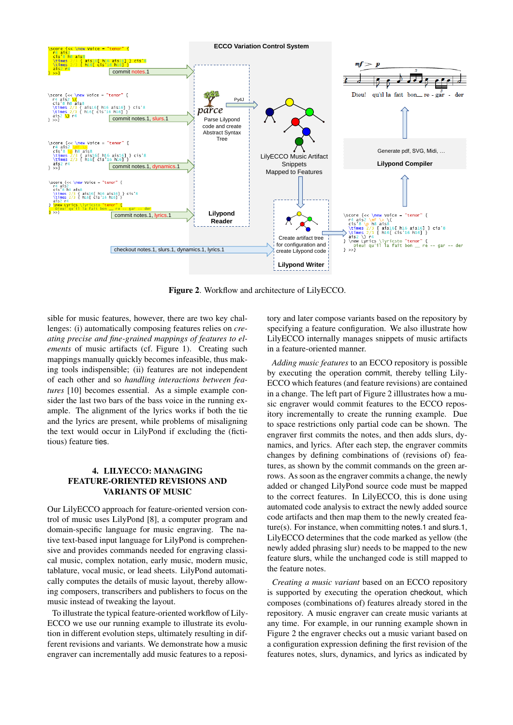

<span id="page-2-0"></span>Figure 2. Workflow and architecture of LilyECCO.

sible for music features, however, there are two key challenges: (i) automatically composing features relies on *creating precise and fine-grained mappings of features to elements* of music artifacts (cf. Figure [1\)](#page-1-0). Creating such mappings manually quickly becomes infeasible, thus making tools indispensible; (ii) features are not independent of each other and so *handling interactions between features* [\[10\]](#page-8-0) becomes essential. As a simple example consider the last two bars of the bass voice in the running example. The alignment of the lyrics works if both the tie and the lyrics are present, while problems of misaligning the text would occur in LilyPond if excluding the (fictitious) feature ties.

# 4. LILYECCO: MANAGING FEATURE-ORIENTED REVISIONS AND VARIANTS OF MUSIC

Our LilyECCO approach for feature-oriented version control of music uses LilyPond [\[8\]](#page-7-7), a computer program and domain-specific language for music engraving. The native text-based input language for LilyPond is comprehensive and provides commands needed for engraving classical music, complex notation, early music, modern music, tablature, vocal music, or lead sheets. LilyPond automatically computes the details of music layout, thereby allowing composers, transcribers and publishers to focus on the music instead of tweaking the layout.

To illustrate the typical feature-oriented workflow of Lily-ECCO we use our running example to illustrate its evolution in different evolution steps, ultimately resulting in different revisions and variants. We demonstrate how a music engraver can incrementally add music features to a repository and later compose variants based on the repository by specifying a feature configuration. We also illustrate how LilyECCO internally manages snippets of music artifacts in a feature-oriented manner.

*Adding music features* to an ECCO repository is possible by executing the operation commit, thereby telling Lily-ECCO which features (and feature revisions) are contained in a change. The left part of Figure [2](#page-2-0) illlustrates how a music engraver would commit features to the ECCO repository incrementally to create the running example. Due to space restrictions only partial code can be shown. The engraver first commits the notes, and then adds slurs, dynamics, and lyrics. After each step, the engraver commits changes by defining combinations of (revisions of) features, as shown by the commit commands on the green arrows. As soon as the engraver commits a change, the newly added or changed LilyPond source code must be mapped to the correct features. In LilyECCO, this is done using automated code analysis to extract the newly added source code artifacts and then map them to the newly created feature(s). For instance, when committing notes.1 and slurs.1, LilyECCO determines that the code marked as yellow (the newly added phrasing slur) needs to be mapped to the new feature slurs, while the unchanged code is still mapped to the feature notes.

*Creating a music variant* based on an ECCO repository is supported by executing the operation checkout, which composes (combinations of) features already stored in the repository. A music engraver can create music variants at any time. For example, in our running example shown in Figure [2](#page-2-0) the engraver checks out a music variant based on a configuration expression defining the first revision of the features notes, slurs, dynamics, and lyrics as indicated by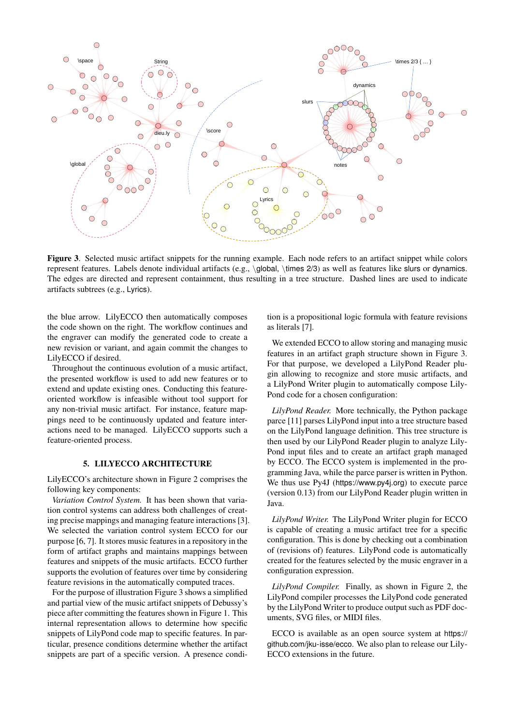

<span id="page-3-0"></span>Figure 3. Selected music artifact snippets for the running example. Each node refers to an artifact snippet while colors represent features. Labels denote individual artifacts (e.g., \global, \times 2/3) as well as features like slurs or dynamics. The edges are directed and represent containment, thus resulting in a tree structure. Dashed lines are used to indicate artifacts subtrees (e.g., Lyrics).

the blue arrow. LilyECCO then automatically composes the code shown on the right. The workflow continues and the engraver can modify the generated code to create a new revision or variant, and again commit the changes to LilyECCO if desired.

Throughout the continuous evolution of a music artifact, the presented workflow is used to add new features or to extend and update existing ones. Conducting this featureoriented workflow is infeasible without tool support for any non-trivial music artifact. For instance, feature mappings need to be continuously updated and feature interactions need to be managed. LilyECCO supports such a feature-oriented process.

## 5. LILYECCO ARCHITECTURE

LilyECCO's architecture shown in Figure [2](#page-2-0) comprises the following key components:

*Variation Control System.* It has been shown that variation control systems can address both challenges of creating precise mappings and managing feature interactions [\[3\]](#page-7-2). We selected the variation control system ECCO for our purpose [\[6,](#page-7-5) [7\]](#page-7-6). It stores music features in a repository in the form of artifact graphs and maintains mappings between features and snippets of the music artifacts. ECCO further supports the evolution of features over time by considering feature revisions in the automatically computed traces.

For the purpose of illustration Figure [3](#page-3-0) shows a simplified and partial view of the music artifact snippets of Debussy's piece after committing the features shown in Figure [1.](#page-1-0) This internal representation allows to determine how specific snippets of LilyPond code map to specific features. In particular, presence conditions determine whether the artifact snippets are part of a specific version. A presence condition is a propositional logic formula with feature revisions as literals [\[7\]](#page-7-6).

We extended ECCO to allow storing and managing music features in an artifact graph structure shown in Figure [3.](#page-3-0) For that purpose, we developed a LilyPond Reader plugin allowing to recognize and store music artifacts, and a LilyPond Writer plugin to automatically compose Lily-Pond code for a chosen configuration:

*LilyPond Reader.* More technically, the Python package parce [\[11\]](#page-8-1) parses LilyPond input into a tree structure based on the LilyPond language definition. This tree structure is then used by our LilyPond Reader plugin to analyze Lily-Pond input files and to create an artifact graph managed by ECCO. The ECCO system is implemented in the programming Java, while the parce parser is written in Python. We thus use Py4J (https://www.py4j.org) to execute parce (version 0.13) from our LilyPond Reader plugin written in Java.

*LilyPond Writer.* The LilyPond Writer plugin for ECCO is capable of creating a music artifact tree for a specific configuration. This is done by checking out a combination of (revisions of) features. LilyPond code is automatically created for the features selected by the music engraver in a configuration expression.

*LilyPond Compiler.* Finally, as shown in Figure [2,](#page-2-0) the LilyPond compiler processes the LilyPond code generated by the LilyPond Writer to produce output such as PDF documents, SVG files, or MIDI files.

ECCO is available as an open source system at [https://](https://github.com/jku-isse/ecco) [github.com/jku-isse/ecco](https://github.com/jku-isse/ecco). We also plan to release our Lily-ECCO extensions in the future.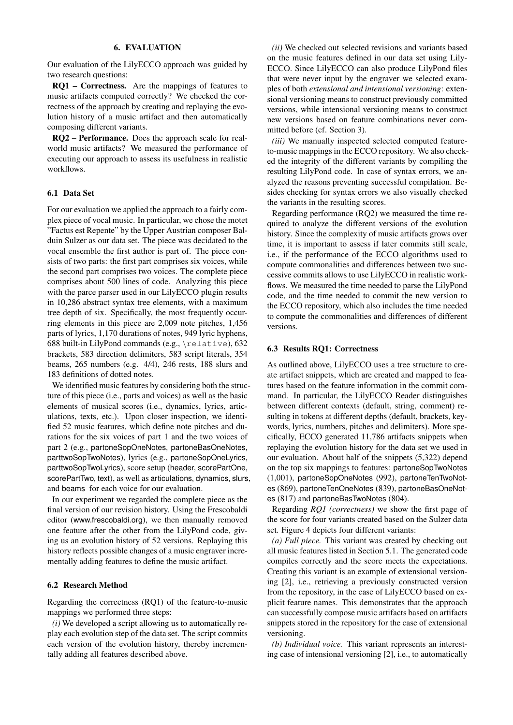## 6. EVALUATION

Our evaluation of the LilyECCO approach was guided by two research questions:

RQ1 – Correctness. Are the mappings of features to music artifacts computed correctly? We checked the correctness of the approach by creating and replaying the evolution history of a music artifact and then automatically composing different variants.

RQ2 – Performance. Does the approach scale for realworld music artifacts? We measured the performance of executing our approach to assess its usefulness in realistic workflows.

#### 6.1 Data Set

For our evaluation we applied the approach to a fairly complex piece of vocal music. In particular, we chose the motet "Factus est Repente" by the Upper Austrian composer Balduin Sulzer as our data set. The piece was decidated to the vocal ensemble the first author is part of. The piece consists of two parts: the first part comprises six voices, while the second part comprises two voices. The complete piece comprises about 500 lines of code. Analyzing this piece with the parce parser used in our LilyECCO plugin results in 10,286 abstract syntax tree elements, with a maximum tree depth of six. Specifically, the most frequently occurring elements in this piece are 2,009 note pitches, 1,456 parts of lyrics, 1,170 durations of notes, 949 lyric hyphens, 688 built-in LilyPond commands (e.g., \relative), 632 brackets, 583 direction delimiters, 583 script literals, 354 beams, 265 numbers (e.g. 4/4), 246 rests, 188 slurs and 183 definitions of dotted notes.

We identified music features by considering both the structure of this piece (i.e., parts and voices) as well as the basic elements of musical scores (i.e., dynamics, lyrics, articulations, texts, etc.). Upon closer inspection, we identified 52 music features, which define note pitches and durations for the six voices of part 1 and the two voices of part 2 (e.g., partoneSopOneNotes, partoneBasOneNotes, parttwoSopTwoNotes), lyrics (e.g., partoneSopOneLyrics, parttwoSopTwoLyrics), score setup (header, scorePartOne, scorePartTwo, text), as well as articulations, dynamics, slurs, and beams for each voice for our evaluation.

In our experiment we regarded the complete piece as the final version of our revision history. Using the Frescobaldi editor (<www.frescobaldi.org>), we then manually removed one feature after the other from the LilyPond code, giving us an evolution history of 52 versions. Replaying this history reflects possible changes of a music engraver incrementally adding features to define the music artifact.

## 6.2 Research Method

Regarding the correctness (RQ1) of the feature-to-music mappings we performed three steps:

*(i)* We developed a script allowing us to automatically replay each evolution step of the data set. The script commits each version of the evolution history, thereby incrementally adding all features described above.

*(ii)* We checked out selected revisions and variants based on the music features defined in our data set using Lily-ECCO. Since LilyECCO can also produce LilyPond files that were never input by the engraver we selected examples of both *extensional and intensional versioning*: extensional versioning means to construct previously committed versions, while intensional versioning means to construct new versions based on feature combinations never committed before (cf. Section 3).

*(iii)* We manually inspected selected computed featureto-music mappings in the ECCO repository. We also checked the integrity of the different variants by compiling the resulting LilyPond code. In case of syntax errors, we analyzed the reasons preventing successful compilation. Besides checking for syntax errors we also visually checked the variants in the resulting scores.

Regarding performance (RQ2) we measured the time required to analyze the different versions of the evolution history. Since the complexity of music artifacts grows over time, it is important to assess if later commits still scale, i.e., if the performance of the ECCO algorithms used to compute commonalities and differences between two successive commits allows to use LilyECCO in realistic workflows. We measured the time needed to parse the LilyPond code, and the time needed to commit the new version to the ECCO repository, which also includes the time needed to compute the commonalities and differences of different versions.

## 6.3 Results RQ1: Correctness

As outlined above, LilyECCO uses a tree structure to create artifact snippets, which are created and mapped to features based on the feature information in the commit command. In particular, the LilyECCO Reader distinguishes between different contexts (default, string, comment) resulting in tokens at different depths (default, brackets, keywords, lyrics, numbers, pitches and delimiters). More specifically, ECCO generated 11,786 artifacts snippets when replaying the evolution history for the data set we used in our evaluation. About half of the snippets (5,322) depend on the top six mappings to features: partoneSopTwoNotes (1,001), partoneSopOneNotes (992), partoneTenTwoNotes (869), partoneTenOneNotes (839), partoneBasOneNotes (817) and partoneBasTwoNotes (804).

Regarding *RQ1 (correctness)* we show the first page of the score for four variants created based on the Sulzer data set. Figure [4](#page-5-0) depicts four different variants:

*(a) Full piece.* This variant was created by checking out all music features listed in Section 5.1. The generated code compiles correctly and the score meets the expectations. Creating this variant is an example of extensional versioning [\[2\]](#page-7-1), i.e., retrieving a previously constructed version from the repository, in the case of LilyECCO based on explicit feature names. This demonstrates that the approach can successfully compose music artifacts based on artifacts snippets stored in the repository for the case of extensional versioning.

*(b) Individual voice.* This variant represents an interesting case of intensional versioning [\[2\]](#page-7-1), i.e., to automatically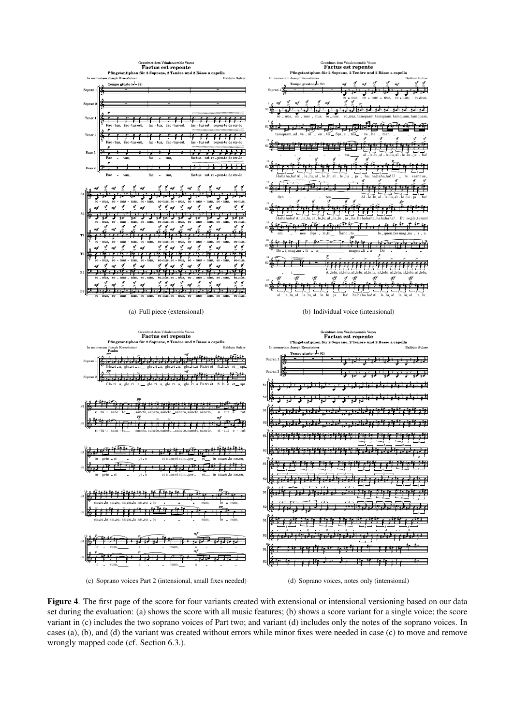<span id="page-5-2"></span><span id="page-5-1"></span>

<span id="page-5-4"></span><span id="page-5-3"></span><span id="page-5-0"></span>Figure 4. The first page of the score for four variants created with extensional or intensional versioning based on our data set during the evaluation: [\(a\)](#page-5-1) shows the score with all music features; [\(b\)](#page-5-2) shows a score variant for a single voice; the score variant in [\(c\)](#page-5-3) includes the two soprano voices of Part two; and variant [\(d\)](#page-5-4) includes only the notes of the soprano voices. In cases (a), (b), and (d) the variant was created without errors while minor fixes were needed in case (c) to move and remove wrongly mapped code (cf. Section 6.3.).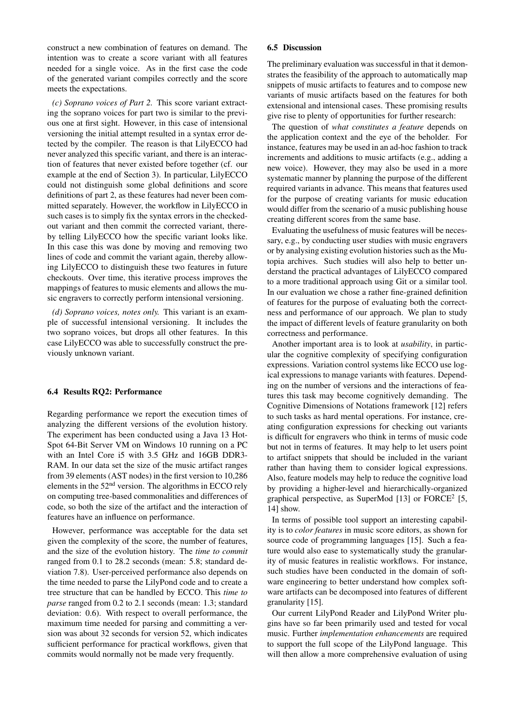construct a new combination of features on demand. The intention was to create a score variant with all features needed for a single voice. As in the first case the code of the generated variant compiles correctly and the score meets the expectations.

*(c) Soprano voices of Part 2.* This score variant extracting the soprano voices for part two is similar to the previous one at first sight. However, in this case of intensional versioning the initial attempt resulted in a syntax error detected by the compiler. The reason is that LilyECCO had never analyzed this specific variant, and there is an interaction of features that never existed before together (cf. our example at the end of Section 3). In particular, LilyECCO could not distinguish some global definitions and score definitions of part 2, as these features had never been committed separately. However, the workflow in LilyECCO in such cases is to simply fix the syntax errors in the checkedout variant and then commit the corrected variant, thereby telling LilyECCO how the specific variant looks like. In this case this was done by moving and removing two lines of code and commit the variant again, thereby allowing LilyECCO to distinguish these two features in future checkouts. Over time, this iterative process improves the mappings of features to music elements and allows the music engravers to correctly perform intensional versioning.

*(d) Soprano voices, notes only.* This variant is an example of successful intensional versioning. It includes the two soprano voices, but drops all other features. In this case LilyECCO was able to successfully construct the previously unknown variant.

## 6.4 Results RQ2: Performance

Regarding performance we report the execution times of analyzing the different versions of the evolution history. The experiment has been conducted using a Java 13 Hot-Spot 64-Bit Server VM on Windows 10 running on a PC with an Intel Core i5 with 3.5 GHz and 16GB DDR3- RAM. In our data set the size of the music artifact ranges from 39 elements (AST nodes) in the first version to 10,286 elements in the 52nd version. The algorithms in ECCO rely on computing tree-based commonalities and differences of code, so both the size of the artifact and the interaction of features have an influence on performance.

However, performance was acceptable for the data set given the complexity of the score, the number of features, and the size of the evolution history. The *time to commit* ranged from 0.1 to 28.2 seconds (mean: 5.8; standard deviation 7.8). User-perceived performance also depends on the time needed to parse the LilyPond code and to create a tree structure that can be handled by ECCO. This *time to parse* ranged from 0.2 to 2.1 seconds (mean: 1.3; standard deviation: 0.6). With respect to overall performance, the maximum time needed for parsing and committing a version was about 32 seconds for version 52, which indicates sufficient performance for practical workflows, given that commits would normally not be made very frequently.

#### 6.5 Discussion

The preliminary evaluation was successful in that it demonstrates the feasibility of the approach to automatically map snippets of music artifacts to features and to compose new variants of music artifacts based on the features for both extensional and intensional cases. These promising results give rise to plenty of opportunities for further research:

The question of *what constitutes a feature* depends on the application context and the eye of the beholder. For instance, features may be used in an ad-hoc fashion to track increments and additions to music artifacts (e.g., adding a new voice). However, they may also be used in a more systematic manner by planning the purpose of the different required variants in advance. This means that features used for the purpose of creating variants for music education would differ from the scenario of a music publishing house creating different scores from the same base.

Evaluating the usefulness of music features will be necessary, e.g., by conducting user studies with music engravers or by analysing existing evolution histories such as the Mutopia archives. Such studies will also help to better understand the practical advantages of LilyECCO compared to a more traditional approach using Git or a similar tool. In our evaluation we chose a rather fine-grained definition of features for the purpose of evaluating both the correctness and performance of our approach. We plan to study the impact of different levels of feature granularity on both correctness and performance.

Another important area is to look at *usability*, in particular the cognitive complexity of specifying configuration expressions. Variation control systems like ECCO use logical expressions to manage variants with features. Depending on the number of versions and the interactions of features this task may become cognitively demanding. The Cognitive Dimensions of Notations framework [\[12\]](#page-8-2) refers to such tasks as hard mental operations. For instance, creating configuration expressions for checking out variants is difficult for engravers who think in terms of music code but not in terms of features. It may help to let users point to artifact snippets that should be included in the variant rather than having them to consider logical expressions. Also, feature models may help to reduce the cognitive load by providing a higher-level and hierarchically-organized graphical perspective, as SuperMod [\[13\]](#page-8-3) or FORCE<sup>2</sup> [\[5,](#page-7-4) [14\]](#page-8-4) show.

In terms of possible tool support an interesting capability is to *color features* in music score editors, as shown for source code of programming languages [\[15\]](#page-8-5). Such a feature would also ease to systematically study the granularity of music features in realistic workflows. For instance, such studies have been conducted in the domain of software engineering to better understand how complex software artifacts can be decomposed into features of different granularity [\[15\]](#page-8-5).

Our current LilyPond Reader and LilyPond Writer plugins have so far been primarily used and tested for vocal music. Further *implementation enhancements* are required to support the full scope of the LilyPond language. This will then allow a more comprehensive evaluation of using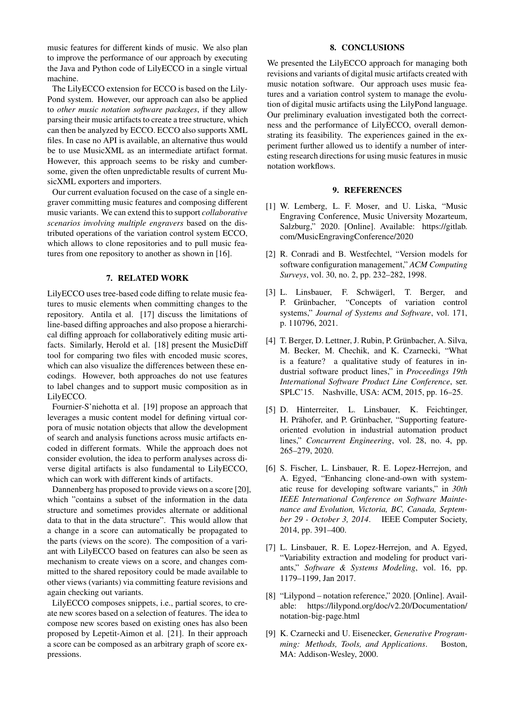music features for different kinds of music. We also plan to improve the performance of our approach by executing the Java and Python code of LilyECCO in a single virtual machine.

The LilyECCO extension for ECCO is based on the Lily-Pond system. However, our approach can also be applied to *other music notation software packages*, if they allow parsing their music artifacts to create a tree structure, which can then be analyzed by ECCO. ECCO also supports XML files. In case no API is available, an alternative thus would be to use MusicXML as an intermediate artifact format. However, this approach seems to be risky and cumbersome, given the often unpredictable results of current MusicXML exporters and importers.

Our current evaluation focused on the case of a single engraver committing music features and composing different music variants. We can extend this to support *collaborative scenarios involving multiple engravers* based on the distributed operations of the variation control system ECCO, which allows to clone repositories and to pull music features from one repository to another as shown in [\[16\]](#page-8-6).

# 7. RELATED WORK

LilyECCO uses tree-based code diffing to relate music features to music elements when committing changes to the repository. Antila et al. [\[17\]](#page-8-7) discuss the limitations of line-based diffing approaches and also propose a hierarchical diffing approach for collaboratively editing music artifacts. Similarly, Herold et al. [\[18\]](#page-8-8) present the MusicDiff tool for comparing two files with encoded music scores, which can also visualize the differences between these encodings. However, both approaches do not use features to label changes and to support music composition as in LilyECCO.

Fournier-S'niehotta et al. [\[19\]](#page-8-9) propose an approach that leverages a music content model for defining virtual corpora of music notation objects that allow the development of search and analysis functions across music artifacts encoded in different formats. While the approach does not consider evolution, the idea to perform analyses across diverse digital artifacts is also fundamental to LilyECCO, which can work with different kinds of artifacts.

Dannenberg has proposed to provide views on a score [\[20\]](#page-8-10), which "contains a subset of the information in the data structure and sometimes provides alternate or additional data to that in the data structure". This would allow that a change in a score can automatically be propagated to the parts (views on the score). The composition of a variant with LilyECCO based on features can also be seen as mechanism to create views on a score, and changes committed to the shared repository could be made available to other views (variants) via committing feature revisions and again checking out variants.

LilyECCO composes snippets, i.e., partial scores, to create new scores based on a selection of features. The idea to compose new scores based on existing ones has also been proposed by Lepetit-Aimon et al. [\[21\]](#page-8-11). In their approach a score can be composed as an arbitrary graph of score expressions.

## 8. CONCLUSIONS

We presented the LilvECCO approach for managing both revisions and variants of digital music artifacts created with music notation software. Our approach uses music features and a variation control system to manage the evolution of digital music artifacts using the LilyPond language. Our preliminary evaluation investigated both the correctness and the performance of LilyECCO, overall demonstrating its feasibility. The experiences gained in the experiment further allowed us to identify a number of interesting research directions for using music features in music notation workflows.

## 9. REFERENCES

- <span id="page-7-0"></span>[1] W. Lemberg, L. F. Moser, and U. Liska, "Music Engraving Conference, Music University Mozarteum, Salzburg," 2020. [Online]. Available: [https://gitlab.](https://gitlab.com/MusicEngravingConference/2020) [com/MusicEngravingConference/2020](https://gitlab.com/MusicEngravingConference/2020)
- <span id="page-7-1"></span>[2] R. Conradi and B. Westfechtel, "Version models for software configuration management," *ACM Computing Surveys*, vol. 30, no. 2, pp. 232–282, 1998.
- <span id="page-7-2"></span>[3] L. Linsbauer, F. Schwägerl, T. Berger, and P. Grünbacher, "Concepts of variation control systems," *Journal of Systems and Software*, vol. 171, p. 110796, 2021.
- <span id="page-7-3"></span>[4] T. Berger, D. Lettner, J. Rubin, P. Grünbacher, A. Silva, M. Becker, M. Chechik, and K. Czarnecki, "What is a feature? a qualitative study of features in industrial software product lines," in *Proceedings 19th International Software Product Line Conference*, ser. SPLC'15. Nashville, USA: ACM, 2015, pp. 16–25.
- <span id="page-7-4"></span>[5] D. Hinterreiter, L. Linsbauer, K. Feichtinger, H. Prähofer, and P. Grünbacher, "Supporting featureoriented evolution in industrial automation product lines," *Concurrent Engineering*, vol. 28, no. 4, pp. 265–279, 2020.
- <span id="page-7-5"></span>[6] S. Fischer, L. Linsbauer, R. E. Lopez-Herrejon, and A. Egyed, "Enhancing clone-and-own with systematic reuse for developing software variants," in *30th IEEE International Conference on Software Maintenance and Evolution, Victoria, BC, Canada, September 29 - October 3, 2014*. IEEE Computer Society, 2014, pp. 391–400.
- <span id="page-7-6"></span>[7] L. Linsbauer, R. E. Lopez-Herrejon, and A. Egyed, "Variability extraction and modeling for product variants," *Software & Systems Modeling*, vol. 16, pp. 1179–1199, Jan 2017.
- <span id="page-7-7"></span>[8] "Lilypond – notation reference," 2020. [Online]. Available: [https://lilypond.org/doc/v2.20/Documentation/](https://lilypond.org/doc/v2.20/Documentation/notation-big-page.html) [notation-big-page.html](https://lilypond.org/doc/v2.20/Documentation/notation-big-page.html)
- <span id="page-7-8"></span>[9] K. Czarnecki and U. Eisenecker, *Generative Programming: Methods, Tools, and Applications*. Boston, MA: Addison-Wesley, 2000.